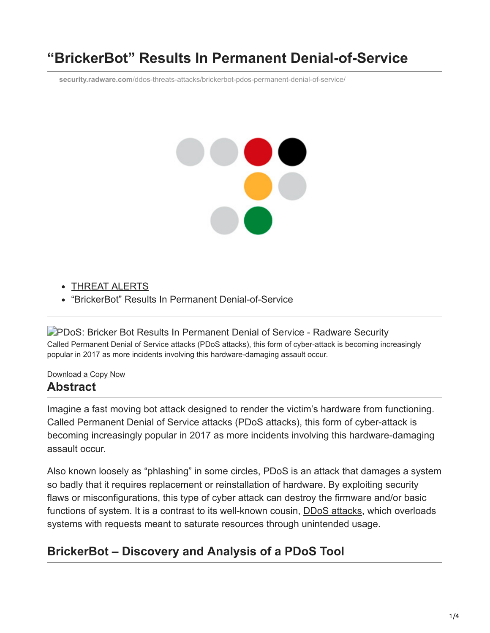# **"BrickerBot" Results In Permanent Denial-of-Service**

**security.radware.com**[/ddos-threats-attacks/brickerbot-pdos-permanent-denial-of-service/](https://security.radware.com/ddos-threats-attacks/brickerbot-pdos-permanent-denial-of-service/)

# X

- [THREAT ALERTS](https://security.radware.com/security/threat-advisories-attack-reports)
- "BrickerBot" Results In Permanent Denial-of-Service

**P[PDoS: Bricker Bot Results In Permanent Denial of Service - Radware Security](https://security.radware.com/getattachment/Security/Threat-Advisories-and-Attack-Reports/1418/ERT-Alert-BrickerBot-PDoS-2.pdf.aspx?lang=en-US)** Called Permanent Denial of Service attacks (PDoS attacks), this form of cyber-attack is becoming increasingly popular in 2017 as more incidents involving this hardware-damaging assault occur.

#### [Download](https://security.radware.com/getattachment/Security/Threat-Advisories-and-Attack-Reports/1418/ERT-Alert-BrickerBot-PDoS-2.pdf.aspx?lang=en-US) a Copy Now

## **Abstract**

Imagine a fast moving bot attack designed to render the victim's hardware from functioning. Called Permanent Denial of Service attacks (PDoS attacks), this form of cyber-attack is becoming increasingly popular in 2017 as more incidents involving this hardware-damaging assault occur.

Also known loosely as "phlashing" in some circles, PDoS is an attack that damages a system so badly that it requires replacement or reinstallation of hardware. By exploiting security flaws or misconfigurations, this type of cyber attack can destroy the firmware and/or basic functions of system. It is a contrast to its well-known cousin, [DDoS attacks](https://www.radware.com/resources/ddos_attacks.aspx), which overloads systems with requests meant to saturate resources through unintended usage.

# **BrickerBot – Discovery and Analysis of a PDoS Tool**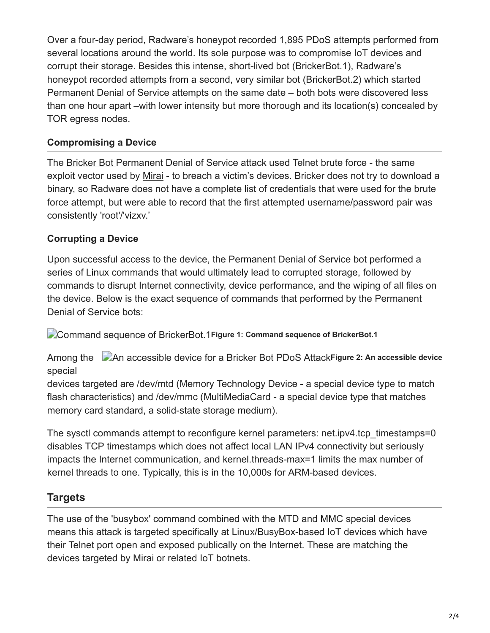Over a four-day period, Radware's honeypot recorded 1,895 PDoS attempts performed from several locations around the world. Its sole purpose was to compromise IoT devices and corrupt their storage. Besides this intense, short-lived bot (BrickerBot.1), Radware's honeypot recorded attempts from a second, very similar bot (BrickerBot.2) which started Permanent Denial of Service attempts on the same date – both bots were discovered less than one hour apart –with lower intensity but more thorough and its location(s) concealed by TOR egress nodes.

#### **Compromising a Device**

The [Bricker Bot](https://security.radware.com/Security/ddos-threats-attacks/brickerbot-pdos-back-with-vengeance/) Permanent Denial of Service attack used Telnet brute force - the same exploit vector used by [Mirai](https://security.radware.com/Security/ddos-threats-attacks/threat-advisories-attack-reports/mirai-botnet/) - to breach a victim's devices. Bricker does not try to download a binary, so Radware does not have a complete list of credentials that were used for the brute force attempt, but were able to record that the first attempted username/password pair was consistently 'root'/'vizxv.'

#### **Corrupting a Device**

Upon successful access to the device, the Permanent Denial of Service bot performed a series of Linux commands that would ultimately lead to corrupted storage, followed by commands to disrupt Internet connectivity, device performance, and the wiping of all files on the device. Below is the exact sequence of commands that performed by the Permanent Denial of Service bots:

Command sequence of BrickerBot.1**Figure 1: Command sequence of BrickerBot.1**

An accessible device for a Bricker Bot PDoS Attack**Figure 2: An accessible device** Among the special

devices targeted are /dev/mtd (Memory Technology Device - a special device type to match flash characteristics) and /dev/mmc (MultiMediaCard - a special device type that matches memory card standard, a solid-state storage medium).

The sysctl commands attempt to reconfigure kernel parameters: net.ipv4.tcp\_timestamps=0 disables TCP timestamps which does not affect local LAN IPv4 connectivity but seriously impacts the Internet communication, and kernel.threads-max=1 limits the max number of kernel threads to one. Typically, this is in the 10,000s for ARM-based devices.

### **Targets**

The use of the 'busybox' command combined with the MTD and MMC special devices means this attack is targeted specifically at Linux/BusyBox-based IoT devices which have their Telnet port open and exposed publically on the Internet. These are matching the devices targeted by Mirai or related IoT botnets.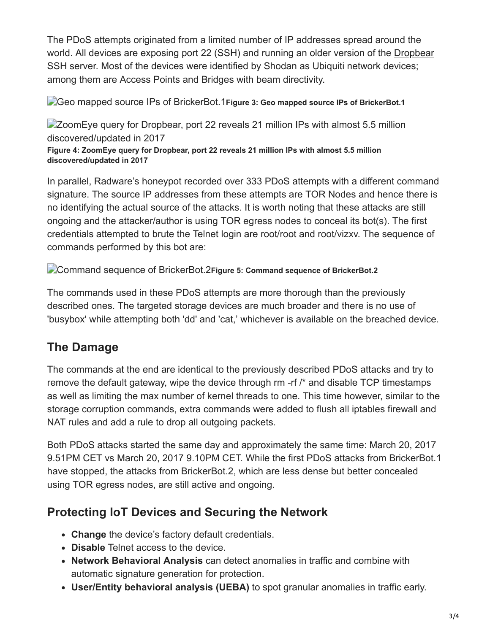The PDoS attempts originated from a limited number of IP addresses spread around the world. All devices are exposing port 22 (SSH) and running an older version of the [Dropbear](https://matt.ucc.asn.au/dropbear/dropbear.html) SSH server. Most of the devices were identified by Shodan as Ubiquiti network devices; among them are Access Points and Bridges with beam directivity.

Geo mapped source IPs of BrickerBot.1**Figure 3: Geo mapped source IPs of BrickerBot.1**

**ZoomEye query for Dropbear, port 22 reveals 21 million IPs with almost 5.5 million** discovered/updated in 2017

**Figure 4: ZoomEye query for Dropbear, port 22 reveals 21 million IPs with almost 5.5 million discovered/updated in 2017**

In parallel, Radware's honeypot recorded over 333 PDoS attempts with a different command signature. The source IP addresses from these attempts are TOR Nodes and hence there is no identifying the actual source of the attacks. It is worth noting that these attacks are still ongoing and the attacker/author is using TOR egress nodes to conceal its bot(s). The first credentials attempted to brute the Telnet login are root/root and root/vizxv. The sequence of commands performed by this bot are:

Command sequence of BrickerBot.2**Figure 5: Command sequence of BrickerBot.2**

The commands used in these PDoS attempts are more thorough than the previously described ones. The targeted storage devices are much broader and there is no use of 'busybox' while attempting both 'dd' and 'cat,' whichever is available on the breached device.

# **The Damage**

The commands at the end are identical to the previously described PDoS attacks and try to remove the default gateway, wipe the device through rm -rf /\* and disable TCP timestamps as well as limiting the max number of kernel threads to one. This time however, similar to the storage corruption commands, extra commands were added to flush all iptables firewall and NAT rules and add a rule to drop all outgoing packets.

Both PDoS attacks started the same day and approximately the same time: March 20, 2017 9.51PM CET vs March 20, 2017 9.10PM CET. While the first PDoS attacks from BrickerBot.1 have stopped, the attacks from BrickerBot.2, which are less dense but better concealed using TOR egress nodes, are still active and ongoing.

## **Protecting IoT Devices and Securing the Network**

- **Change** the device's factory default credentials.
- **Disable** Telnet access to the device.
- **Network Behavioral Analysis** can detect anomalies in traffic and combine with automatic signature generation for protection.
- **User/Entity behavioral analysis (UEBA)** to spot granular anomalies in traffic early.